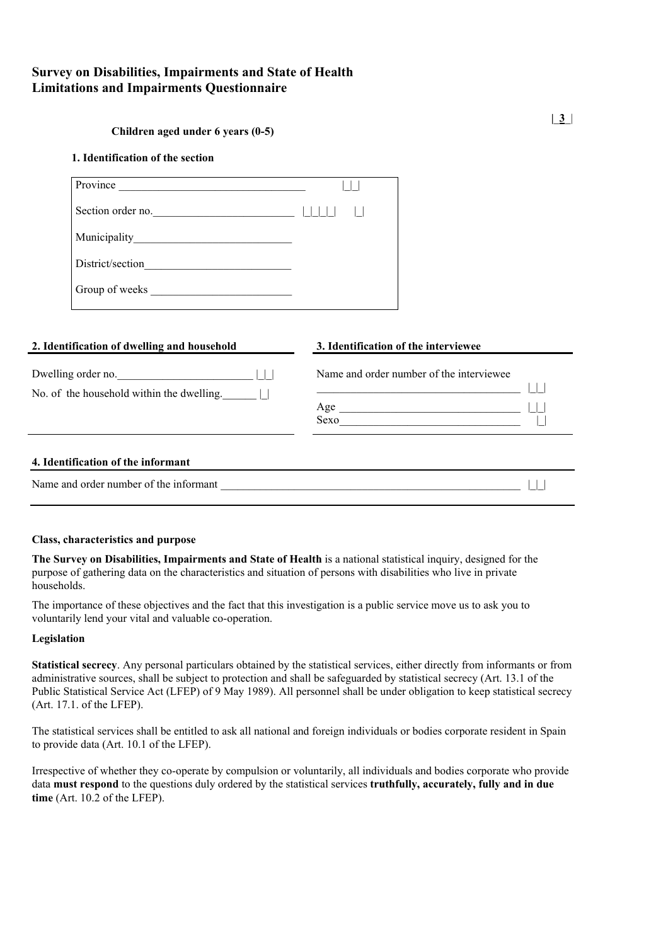# **Survey on Disabilities, Impairments and State of Health Limitations and Impairments Questionnaire**

#### **1. Identification of the section**

| Province          |  |
|-------------------|--|
| Section order no. |  |
|                   |  |
| District/section  |  |
| Group of weeks    |  |

| 2. Identification of dwelling and household                                   | 3. Identification of the interviewee                    |
|-------------------------------------------------------------------------------|---------------------------------------------------------|
| Dwelling order no.<br>No. of the household within the dwelling. $\vert \vert$ | Name and order number of the interviewee<br>Age<br>Sexo |
| 4. Identification of the informant                                            |                                                         |
| Name and order number of the informant                                        |                                                         |

#### **Class, characteristics and purpose**

**The Survey on Disabilities, Impairments and State of Health** is a national statistical inquiry, designed for the purpose of gathering data on the characteristics and situation of persons with disabilities who live in private households.

The importance of these objectives and the fact that this investigation is a public service move us to ask you to voluntarily lend your vital and valuable co-operation.

#### **Legislation**

**Statistical secrecy**. Any personal particulars obtained by the statistical services, either directly from informants or from administrative sources, shall be subject to protection and shall be safeguarded by statistical secrecy (Art. 13.1 of the Public Statistical Service Act (LFEP) of 9 May 1989). All personnel shall be under obligation to keep statistical secrecy (Art. 17.1. of the LFEP).

The statistical services shall be entitled to ask all national and foreign individuals or bodies corporate resident in Spain to provide data (Art. 10.1 of the LFEP).

Irrespective of whether they co-operate by compulsion or voluntarily, all individuals and bodies corporate who provide data **must respond** to the questions duly ordered by the statistical services **truthfully, accurately, fully and in due time** (Art. 10.2 of the LFEP).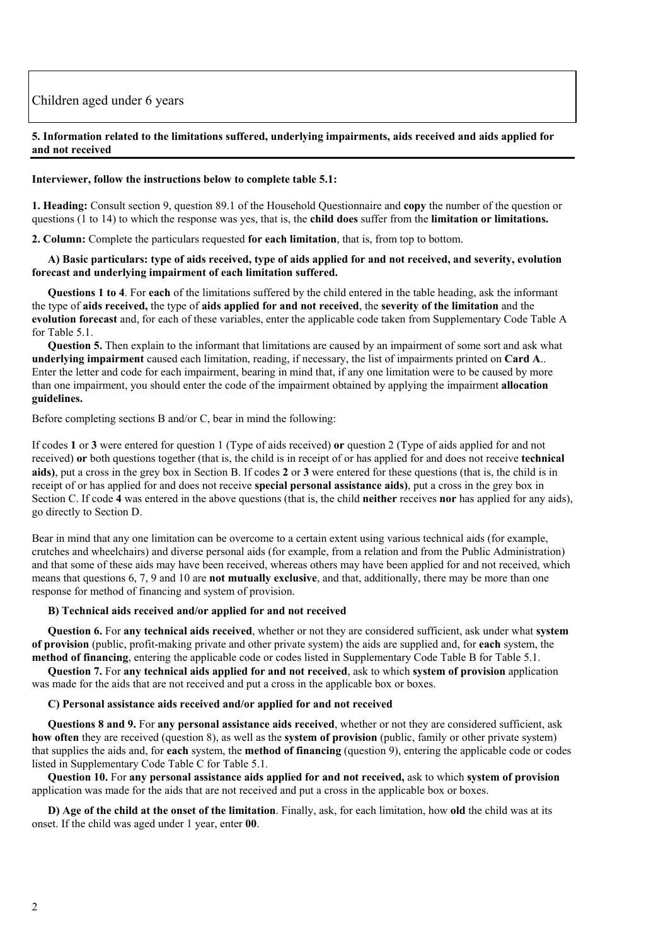# Children aged under 6 years

#### **5. Information related to the limitations suffered, underlying impairments, aids received and aids applied for and not received**

#### **Interviewer, follow the instructions below to complete table 5.1:**

**1. Heading:** Consult section 9, question 89.1 of the Household Questionnaire and **copy** the number of the question or questions (1 to 14) to which the response was yes, that is, the **child does** suffer from the **limitation or limitations.**

**2. Column:** Complete the particulars requested **for each limitation**, that is, from top to bottom.

#### **A) Basic particulars: type of aids received, type of aids applied for and not received, and severity, evolution forecast and underlying impairment of each limitation suffered.**

**Questions 1 to 4**. For **each** of the limitations suffered by the child entered in the table heading, ask the informant the type of **aids received,** the type of **aids applied for and not received**, the **severity of the limitation** and the **evolution forecast** and, for each of these variables, enter the applicable code taken from Supplementary Code Table A for Table 5.1.

**Question 5.** Then explain to the informant that limitations are caused by an impairment of some sort and ask what **underlying impairment** caused each limitation, reading, if necessary, the list of impairments printed on **Card A**.. Enter the letter and code for each impairment, bearing in mind that, if any one limitation were to be caused by more than one impairment, you should enter the code of the impairment obtained by applying the impairment **allocation guidelines.**

Before completing sections B and/or C, bear in mind the following:

If codes **1** or **3** were entered for question 1 (Type of aids received) **or** question 2 (Type of aids applied for and not received) **or** both questions together (that is, the child is in receipt of or has applied for and does not receive **technical aids)**, put a cross in the grey box in Section B. If codes **2** or **3** were entered for these questions (that is, the child is in receipt of or has applied for and does not receive **special personal assistance aids)**, put a cross in the grey box in Section C. If code **4** was entered in the above questions (that is, the child **neither** receives **nor** has applied for any aids), go directly to Section D.

Bear in mind that any one limitation can be overcome to a certain extent using various technical aids (for example, crutches and wheelchairs) and diverse personal aids (for example, from a relation and from the Public Administration) and that some of these aids may have been received, whereas others may have been applied for and not received, which means that questions 6, 7, 9 and 10 are **not mutually exclusive**, and that, additionally, there may be more than one response for method of financing and system of provision.

#### **B) Technical aids received and/or applied for and not received**

**Question 6.** For **any technical aids received**, whether or not they are considered sufficient, ask under what **system of provision** (public, profit-making private and other private system) the aids are supplied and, for **each** system, the **method of financing**, entering the applicable code or codes listed in Supplementary Code Table B for Table 5.1.

**Question 7.** For **any technical aids applied for and not received**, ask to which **system of provision** application was made for the aids that are not received and put a cross in the applicable box or boxes.

#### **C) Personal assistance aids received and/or applied for and not received**

**Questions 8 and 9.** For **any personal assistance aids received**, whether or not they are considered sufficient, ask **how often** they are received (question 8), as well as the **system of provision** (public, family or other private system) that supplies the aids and, for **each** system, the **method of financing** (question 9), entering the applicable code or codes listed in Supplementary Code Table C for Table 5.1.

**Question 10.** For **any personal assistance aids applied for and not received,** ask to which **system of provision** application was made for the aids that are not received and put a cross in the applicable box or boxes.

**D) Age of the child at the onset of the limitation**. Finally, ask, for each limitation, how **old** the child was at its onset. If the child was aged under 1 year, enter **00**.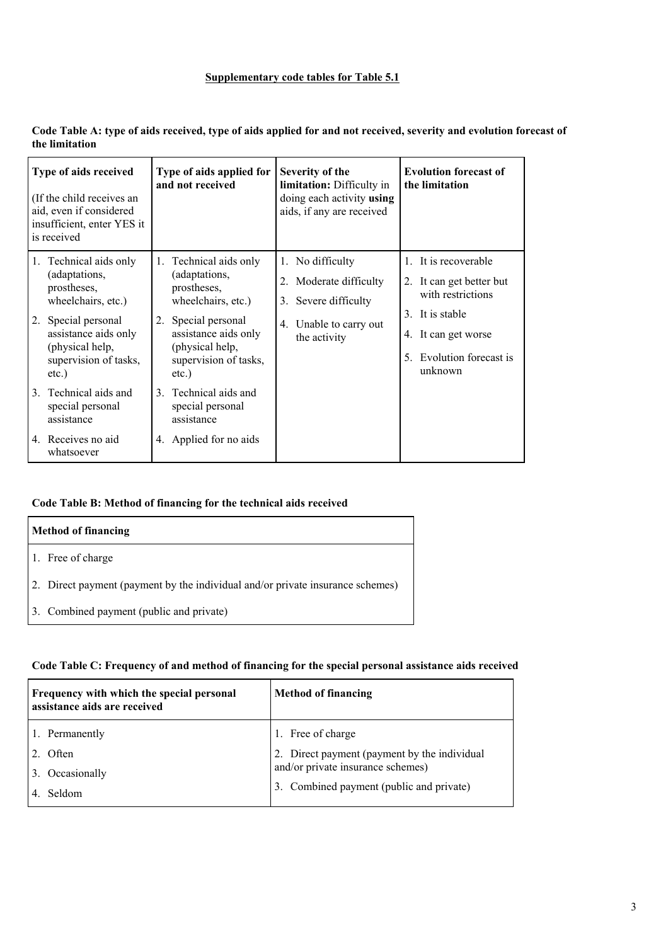## **Supplementary code tables for Table 5.1**

| Code Table A: type of aids received, type of aids applied for and not received, severity and evolution forecast of |  |
|--------------------------------------------------------------------------------------------------------------------|--|
| the limitation                                                                                                     |  |

| Type of aids received<br>(If the child receives an<br>aid, even if considered<br>insufficient, enter YES it<br>is received                                                             | Type of aids applied for<br>and not received                                                                                                                                              | Severity of the<br>limitation: Difficulty in<br>doing each activity using<br>aids, if any are received             | <b>Evolution forecast of</b><br>the limitation                                                                                                            |
|----------------------------------------------------------------------------------------------------------------------------------------------------------------------------------------|-------------------------------------------------------------------------------------------------------------------------------------------------------------------------------------------|--------------------------------------------------------------------------------------------------------------------|-----------------------------------------------------------------------------------------------------------------------------------------------------------|
| Technical aids only<br>1.<br>(adaptations,<br>prostheses,<br>wheelchairs, etc.)<br>2. Special personal<br>assistance aids only<br>(physical help,<br>supervision of tasks,<br>$etc.$ ) | Technical aids only<br>1.<br>(adaptations,<br>prostheses,<br>wheelchairs, etc.)<br>Special personal<br>2.<br>assistance aids only<br>(physical help,<br>supervision of tasks,<br>$etc.$ ) | No difficulty<br>1.<br>2. Moderate difficulty<br>3. Severe difficulty<br>Unable to carry out<br>4.<br>the activity | 1. It is recoverable<br>2. It can get better but<br>with restrictions<br>3. It is stable<br>4. It can get worse<br>Evolution forecast is<br>5.<br>unknown |
| Technical aids and<br>$\mathcal{E}$<br>special personal<br>assistance<br>4. Receives no aid<br>whatsoever                                                                              | 3. Technical aids and<br>special personal<br>assistance<br>4. Applied for no aids                                                                                                         |                                                                                                                    |                                                                                                                                                           |

## **Code Table B: Method of financing for the technical aids received**

| <b>Method of financing</b>                                                     |
|--------------------------------------------------------------------------------|
| 1. Free of charge                                                              |
| 2. Direct payment (payment by the individual and/or private insurance schemes) |
| 3. Combined payment (public and private)                                       |

## **Code Table C: Frequency of and method of financing for the special personal assistance aids received**

| Frequency with which the special personal<br>assistance aids are received | <b>Method of financing</b>                   |  |  |  |
|---------------------------------------------------------------------------|----------------------------------------------|--|--|--|
| 1. Permanently                                                            | 1. Free of charge                            |  |  |  |
| Often                                                                     | 2. Direct payment (payment by the individual |  |  |  |
| Occasionally                                                              | and/or private insurance schemes)            |  |  |  |
| Seldom                                                                    | Combined payment (public and private)<br>3.  |  |  |  |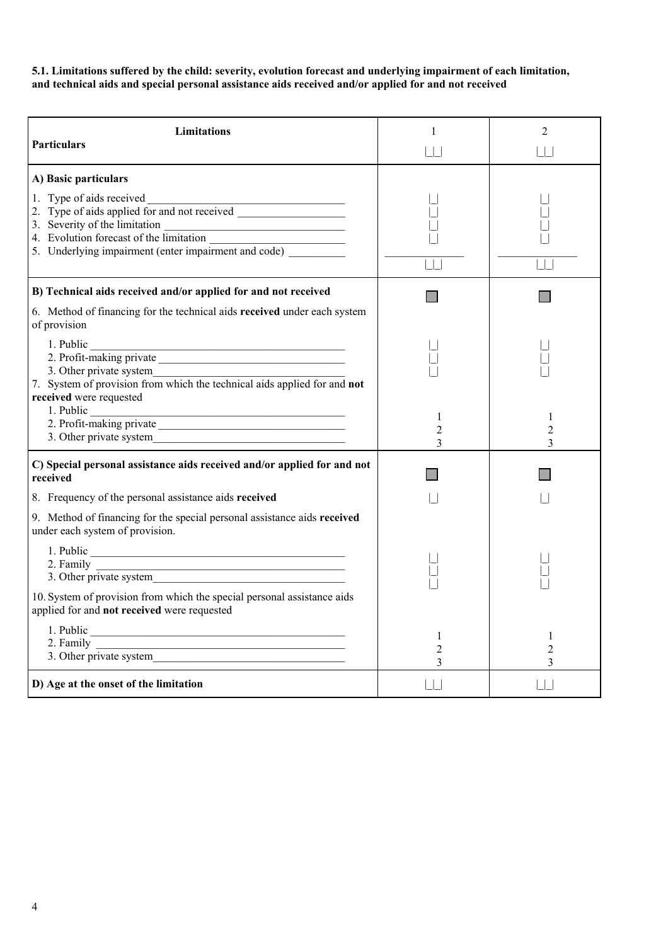**5.1. Limitations suffered by the child: severity, evolution forecast and underlying impairment of each limitation, and technical aids and special personal assistance aids received and/or applied for and not received**

| <b>Limitations</b><br><b>Particulars</b>                                                                                                                             | $\mathbf{1}$<br>$\Box$   | $\overline{2}$<br>$\Box$ |
|----------------------------------------------------------------------------------------------------------------------------------------------------------------------|--------------------------|--------------------------|
| A) Basic particulars<br>5. Underlying impairment (enter impairment and code) _________                                                                               |                          |                          |
| B) Technical aids received and/or applied for and not received<br>6. Method of financing for the technical aids received under each system<br>of provision           |                          |                          |
| 1. Public<br>7. System of provision from which the technical aids applied for and not<br>received were requested                                                     |                          |                          |
|                                                                                                                                                                      | 1<br>$\overline{2}$<br>3 | 1<br>$\overline{2}$<br>3 |
| C) Special personal assistance aids received and/or applied for and not<br>received                                                                                  |                          |                          |
| 8. Frequency of the personal assistance aids received<br>9. Method of financing for the special personal assistance aids received<br>under each system of provision. |                          |                          |
|                                                                                                                                                                      |                          |                          |
| 10. System of provision from which the special personal assistance aids<br>applied for and not received were requested                                               |                          |                          |
| 2. Family $\qquad \qquad$                                                                                                                                            | 1<br>2<br>3              | 1<br>$\overline{2}$<br>3 |
| D) Age at the onset of the limitation                                                                                                                                |                          | $\Box$                   |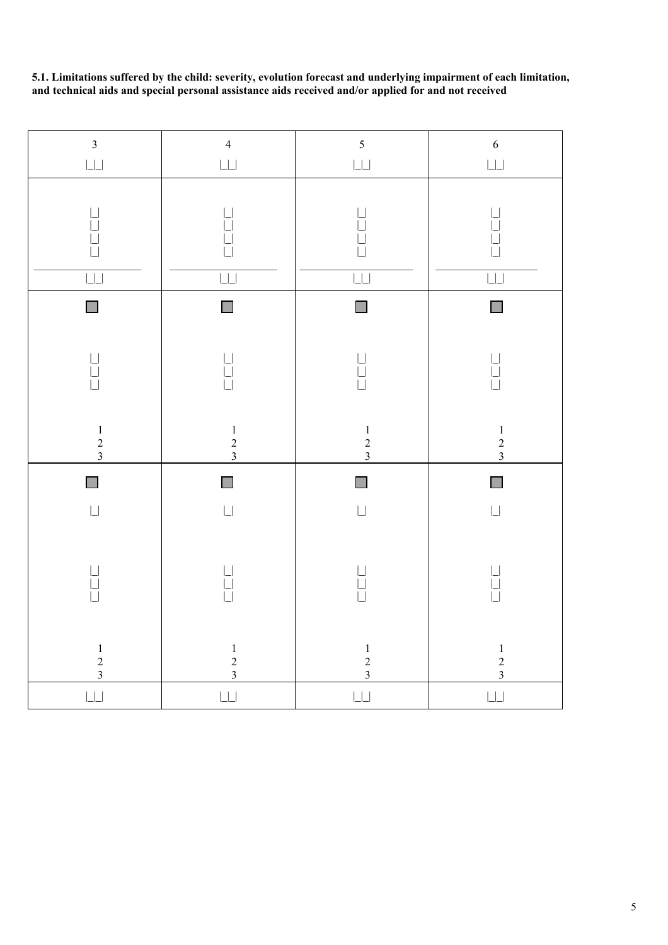**5.1. Limitations suffered by the child: severity, evolution forecast and underlying impairment of each limitation, and technical aids and special personal assistance aids received and/or applied for and not received**

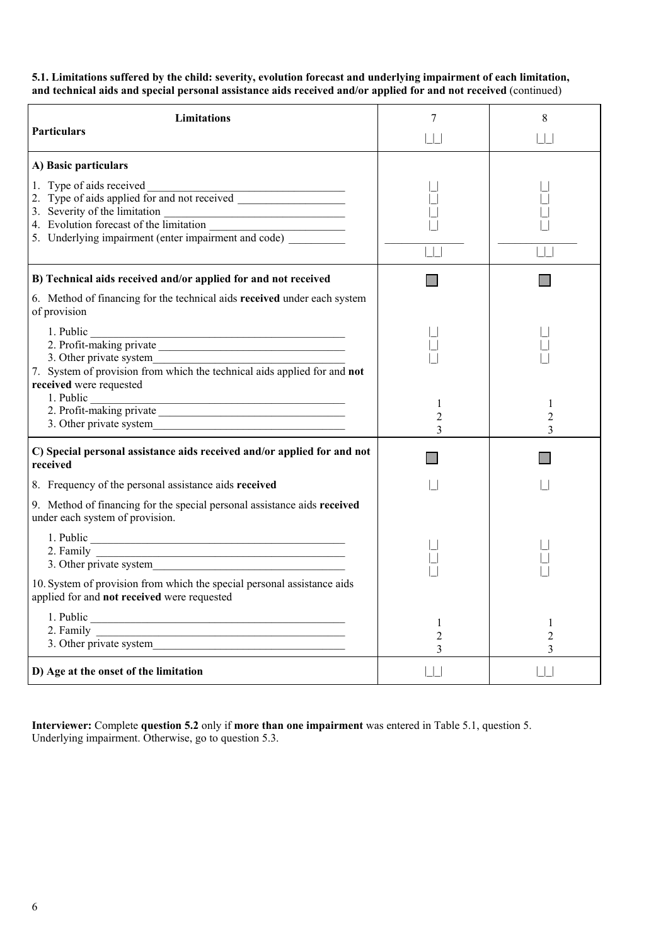**5.1. Limitations suffered by the child: severity, evolution forecast and underlying impairment of each limitation, and technical aids and special personal assistance aids received and/or applied for and not received** (continued)

| <b>Limitations</b><br><b>Particulars</b>                                                                                                                 | 7<br>$\Box$              | 8<br>$\Box$                         |
|----------------------------------------------------------------------------------------------------------------------------------------------------------|--------------------------|-------------------------------------|
| A) Basic particulars<br>3. Severity of the limitation<br>4. Evolution forecast of the limitation<br>5. Underlying impairment (enter impairment and code) |                          |                                     |
| B) Technical aids received and/or applied for and not received<br>6. Method of financing for the technical aids received under each system               |                          |                                     |
| of provision<br>1. Public<br>7. System of provision from which the technical aids applied for and not<br>received were requested                         |                          |                                     |
|                                                                                                                                                          | 1<br>$\overline{2}$<br>3 | 1<br>2<br>3                         |
| C) Special personal assistance aids received and/or applied for and not<br>received                                                                      |                          |                                     |
| 8. Frequency of the personal assistance aids received                                                                                                    |                          |                                     |
| 9. Method of financing for the special personal assistance aids received<br>under each system of provision.                                              |                          |                                     |
|                                                                                                                                                          |                          |                                     |
| 10. System of provision from which the special personal assistance aids<br>applied for and not received were requested                                   |                          |                                     |
| 2. Family 1. Other private system                                                                                                                        | 1<br>$\overline{2}$<br>3 | $\mathbf{1}$<br>$\overline{2}$<br>3 |
| D) Age at the onset of the limitation                                                                                                                    |                          |                                     |

**Interviewer:** Complete **question 5.2** only if **more than one impairment** was entered in Table 5.1, question 5. Underlying impairment. Otherwise, go to question 5.3.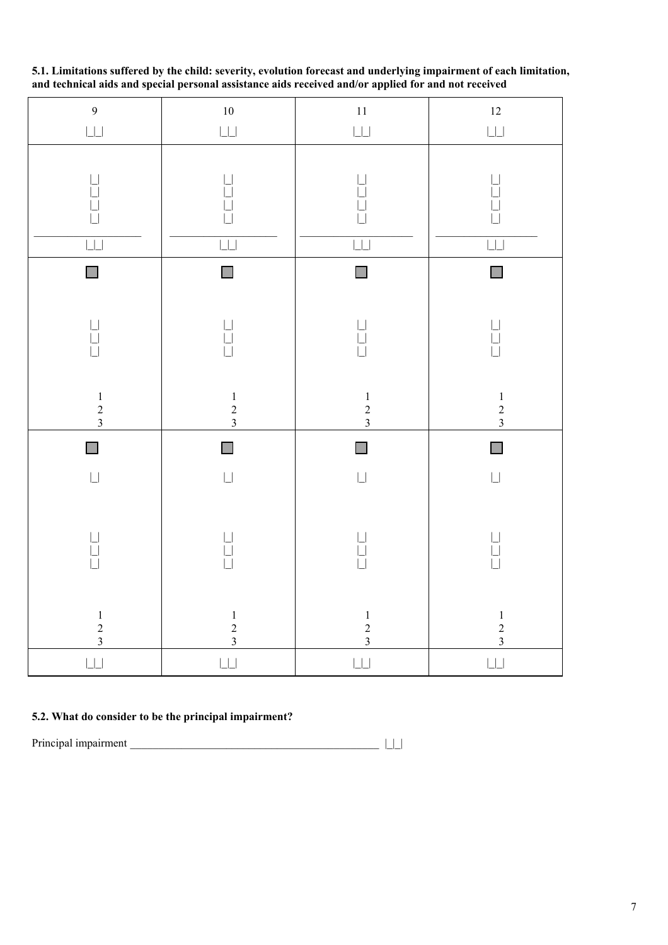**5.1. Limitations suffered by the child: severity, evolution forecast and underlying impairment of each limitation, and technical aids and special personal assistance aids received and/or applied for and not received**

| $\overline{9}$<br>$\overline{\Box}$                                                                                                                                                                                                                                                                                                                                                                            | $10\,$<br>$\Box\Box$                              | $11\,$<br>$\overline{\Box}$                                  | $12$<br>$\Box\Box$                                                                  |
|----------------------------------------------------------------------------------------------------------------------------------------------------------------------------------------------------------------------------------------------------------------------------------------------------------------------------------------------------------------------------------------------------------------|---------------------------------------------------|--------------------------------------------------------------|-------------------------------------------------------------------------------------|
| $\begin{array}{c} \begin{array}{c} \begin{array}{c} \begin{array}{c} \end{array} \\ \begin{array}{c} \end{array} \\ \begin{array}{c} \end{array} \end{array} \end{array} \end{array}$<br>ĪЦ                                                                                                                                                                                                                    | 님<br>Ū<br>$\Box$                                  | $\Box$                                                       | $\begin{array}{c} \boxed{1} \\ \boxed{1} \end{array}$<br>$\Box$<br>$\Box$<br>$\Box$ |
| $\mathbb{R}^n$                                                                                                                                                                                                                                                                                                                                                                                                 | $\mathcal{C}^{\mathcal{A}}$                       | $\Box$                                                       | $\Box$                                                                              |
| $\begin{array}{c} \rule{6mm}{2mm} \rule{0mm}{2mm} \rule{0mm}{2mm} \rule{0mm}{2mm} \rule{0mm}{2mm} \rule{0mm}{2mm} \rule{0mm}{2mm} \rule{0mm}{2mm} \rule{0mm}{2mm} \rule{0mm}{2mm} \rule{0mm}{2mm} \rule{0mm}{2mm} \rule{0mm}{2mm} \rule{0mm}{2mm} \rule{0mm}{2mm} \rule{0mm}{2mm} \rule{0mm}{2mm} \rule{0mm}{2mm} \rule{0mm}{2mm} \rule{0mm}{2mm} \rule{0mm}{2mm} \rule{0mm}{2mm} \rule{0mm}{2mm} \rule{0mm}{$ | $\begin{array}{c} \square \\ \square \end{array}$ | $\begin{array}{c} \boxed{1} \\ \boxed{1} \end{array}$<br>Ħ   | $\begin{array}{c} \square \\ \square \end{array}$                                   |
| $\begin{array}{c} 1 \\ 2 \\ 3 \end{array}$                                                                                                                                                                                                                                                                                                                                                                     | $\begin{array}{c} 1 \\ 2 \\ 3 \end{array}$        | $\begin{array}{c} 1 \\ 2 \\ 3 \end{array}$                   | $\begin{array}{c} 1 \\ 2 \\ 3 \end{array}$                                          |
|                                                                                                                                                                                                                                                                                                                                                                                                                |                                                   |                                                              |                                                                                     |
| $\Box$                                                                                                                                                                                                                                                                                                                                                                                                         | $\Box$                                            | $\Box$                                                       | $\mathbb{R}^n$                                                                      |
| $\Box$                                                                                                                                                                                                                                                                                                                                                                                                         | $\overline{\Box}$                                 | $\overline{\Box}$                                            | $\Box$                                                                              |
| $\begin{array}{c} \rule{6mm}{2mm} \rule{0mm}{2mm} \rule{2mm}{2mm} \rule{2mm}{2mm} \rule{2mm}{2mm} \rule{2mm}{2mm} \rule{2mm}{2mm} \rule{2mm}{2mm} \rule{2mm}{2mm} \rule{2mm}{2mm} \rule{2mm}{2mm} \rule{2mm}{2mm} \rule{2mm}{2mm} \rule{2mm}{2mm} \rule{2mm}{2mm} \rule{2mm}{2mm} \rule{2mm}{2mm} \rule{2mm}{2mm} \rule{2mm}{2mm} \rule{2mm}{2mm} \rule{2mm}{2mm} \rule{2mm}{2mm} \rule{2mm}{2mm} \rule{2mm}{$ | $\begin{array}{c} \square \\ \square \end{array}$ | $\begin{array}{c} \square \\ \square \\ \square \end{array}$ | $\begin{array}{c} \square \\ \square \end{array}$                                   |
| $\begin{array}{c} 1 \\ 2 \\ 3 \end{array}$                                                                                                                                                                                                                                                                                                                                                                     | $\begin{array}{c} 1 \\ 2 \\ 3 \end{array}$        | $\begin{array}{c} 1 \\ 2 \\ 3 \end{array}$                   | $\begin{array}{c} 1 \\ 2 \\ 3 \end{array}$                                          |

## **5.2. What do consider to be the principal impairment?**

Principal impairment \_\_\_\_\_\_\_\_\_\_\_\_\_\_\_\_\_\_\_\_\_\_\_\_\_\_\_\_\_\_\_\_\_\_\_\_\_\_\_\_\_\_\_\_ |\_|\_|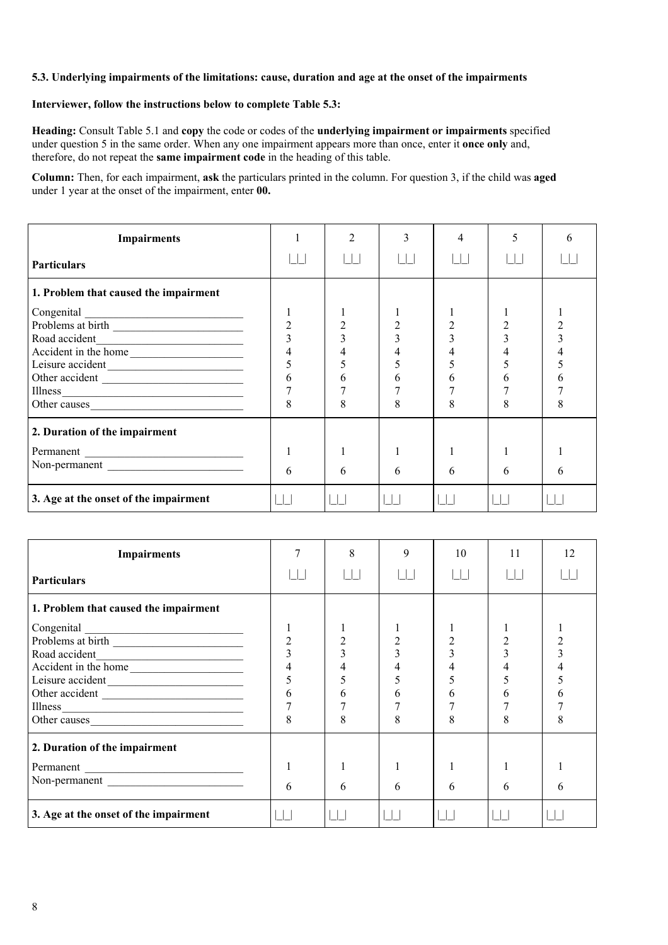## **5.3. Underlying impairments of the limitations: cause, duration and age at the onset of the impairments**

## **Interviewer, follow the instructions below to complete Table 5.3:**

**Heading:** Consult Table 5.1 and **copy** the code or codes of the **underlying impairment or impairments** specified under question 5 in the same order. When any one impairment appears more than once, enter it **once only** and, therefore, do not repeat the **same impairment code** in the heading of this table.

**Column:** Then, for each impairment, **ask** the particulars printed in the column. For question 3, if the child was **aged** under 1 year at the onset of the impairment, enter **00.**

| <b>Impairments</b>                    |                | $\mathfrak{D}$ | 3  | 4 | 5 | h |
|---------------------------------------|----------------|----------------|----|---|---|---|
| <b>Particulars</b>                    |                |                |    |   |   |   |
| 1. Problem that caused the impairment |                |                |    |   |   |   |
|                                       |                |                |    |   |   |   |
|                                       | $\overline{2}$ |                | 2  |   |   |   |
| Road accident                         |                |                |    |   |   |   |
| Accident in the home                  |                |                |    |   |   |   |
|                                       |                |                |    |   |   |   |
| Other accident                        | 6              | h              | h. |   | h |   |
| Illness                               |                |                |    |   |   |   |
| Other causes                          | 8              | 8              | 8  |   |   | δ |
| 2. Duration of the impairment         |                |                |    |   |   |   |
| Permanent                             |                |                |    |   |   |   |
| Non-permanent                         | 6              | 6              | 6  | 6 | 6 | h |
| 3. Age at the onset of the impairment |                |                |    |   |   |   |

| <b>Impairments</b>                    |                | 8 | 9 | 10 | 11 | 12 |
|---------------------------------------|----------------|---|---|----|----|----|
| <b>Particulars</b>                    |                |   |   |    |    |    |
| 1. Problem that caused the impairment |                |   |   |    |    |    |
| Congenital                            |                |   |   |    |    |    |
|                                       | $\overline{2}$ |   |   |    |    |    |
|                                       |                |   |   |    |    |    |
| Accident in the home                  |                |   |   |    |    |    |
|                                       |                |   |   |    |    |    |
| Other accident                        | 6              | h | h | h  | 6  |    |
| Illness                               |                |   |   |    |    |    |
| Other causes                          | 8              | 8 | 8 | 8  | 8  |    |
| 2. Duration of the impairment         |                |   |   |    |    |    |
| Permanent                             |                |   |   |    |    |    |
| Non-permanent                         | 6              | 6 | 6 | 6  | 6  | 6  |
| 3. Age at the onset of the impairment |                |   |   |    |    |    |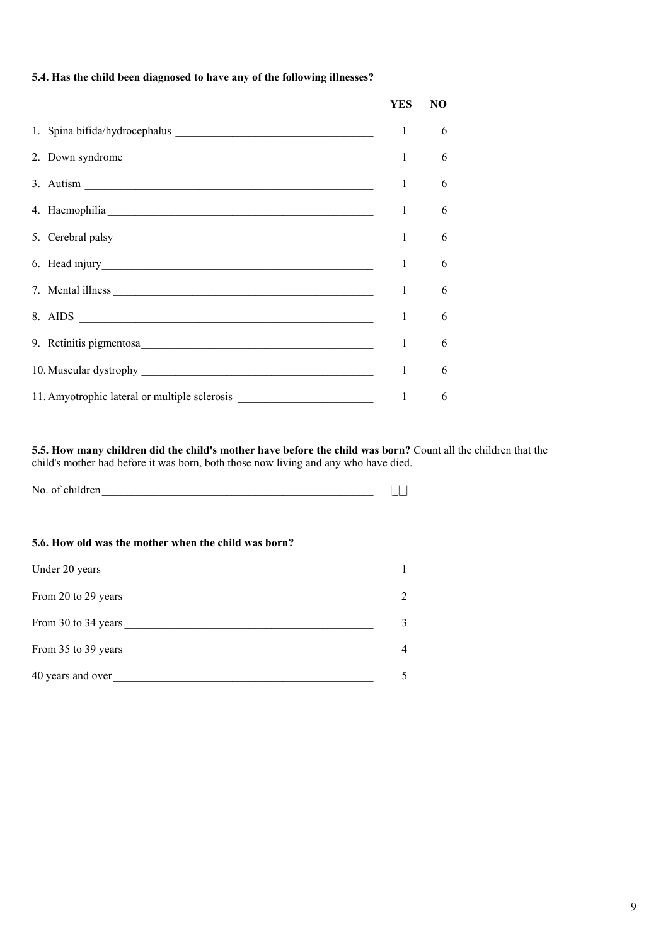## **5.4. Has the child been diagnosed to have any of the following illnesses?**

|                                                                               | YES | NO |
|-------------------------------------------------------------------------------|-----|----|
|                                                                               | 1   | 6  |
| 2. Down syndrome                                                              | 1   | 6  |
| 3. Autism $\frac{1}{\sqrt{1-\frac{1}{2}}\left\lceil \frac{1}{2}\right\rceil}$ | 1   | 6  |
|                                                                               | 1   | 6  |
|                                                                               | 1   | 6  |
|                                                                               | 1   | 6  |
| 7. Mental illness                                                             | 1   | 6  |
|                                                                               | 1   | 6  |
|                                                                               | 1   | 6  |
|                                                                               | 1   | 6  |
| 11. Amyotrophic lateral or multiple sclerosis                                 | 1   | 6  |

**5.5. How many children did the child's mother have before the child was born?** Count all the children that the child's mother had before it was born, both those now living and any who have died.

No. of children  $\Box$ 

## **5.6. How old was the mother when the child was born?**

| Under 20 years      |                |
|---------------------|----------------|
|                     | $\overline{2}$ |
|                     | 3              |
| From 35 to 39 years | $\overline{4}$ |
| 40 years and over   |                |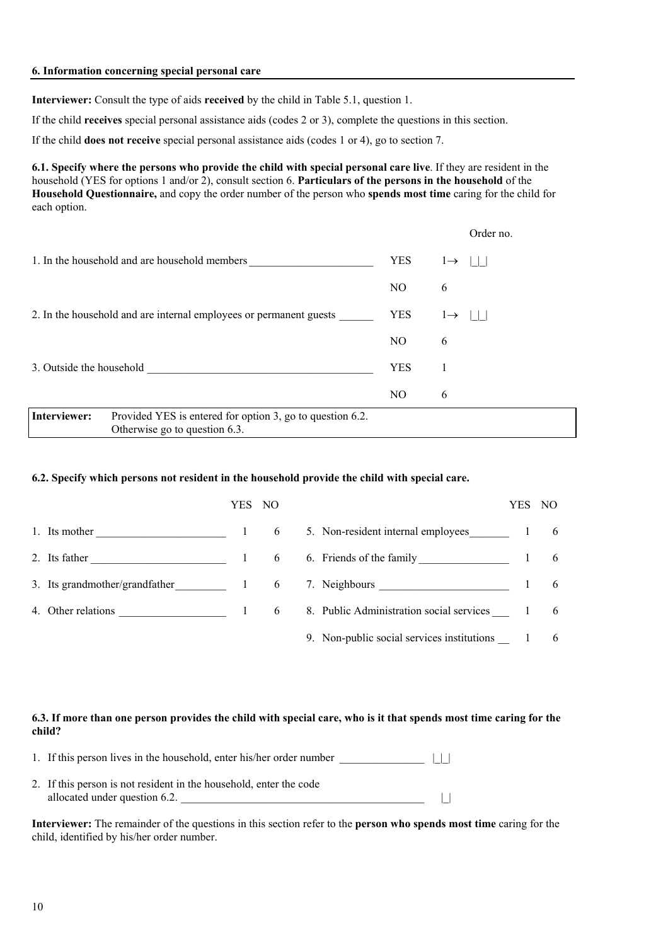#### **6. Information concerning special personal care**

**Interviewer:** Consult the type of aids **received** by the child in Table 5.1, question 1.

If the child **receives** special personal assistance aids (codes 2 or 3), complete the questions in this section.

If the child **does not receive** special personal assistance aids (codes 1 or 4), go to section 7.

**6.1. Specify where the persons who provide the child with special personal care live**. If they are resident in the household (YES for options 1 and/or 2), consult section 6. **Particulars of the persons in the household** of the **Household Questionnaire,** and copy the order number of the person who **spends most time** caring for the child for each option.

|                                                                                                         |                | Order no.                 |  |
|---------------------------------------------------------------------------------------------------------|----------------|---------------------------|--|
| 1. In the household and are household members                                                           | <b>YES</b>     | $l \rightarrow$ $ $ $ $   |  |
|                                                                                                         | NO.            | 6                         |  |
| 2. In the household and are internal employees or permanent guests                                      | <b>YES</b>     | $l \rightarrow$<br>$\Box$ |  |
|                                                                                                         | NO.            | 6                         |  |
| 3. Outside the household                                                                                | <b>YES</b>     |                           |  |
|                                                                                                         | N <sub>O</sub> | 6                         |  |
| Interviewer:<br>Provided YES is entered for option 3, go to question 6.2.<br>$\Omega$ $\Omega$ $\Omega$ |                |                           |  |

Otherwise go to question 6.3.

#### **6.2. Specify which persons not resident in the household provide the child with special care.**

|                                  | YES NO |   |                                              | YES | NO.             |
|----------------------------------|--------|---|----------------------------------------------|-----|-----------------|
| 1. Its mother                    |        | 6 | 5. Non-resident internal employees 1         |     | 6               |
| 2. Its father                    |        | 6 | 6. Friends of the family                     |     | 6               |
| 3. Its grandmother/grandfather 1 |        |   | 6 7. Neighbours                              |     | 6               |
| 4. Other relations               |        |   | 6 8. Public Administration social services 1 |     | $6\overline{6}$ |
|                                  |        |   | 9. Non-public social services institutions   |     | 6               |

## **6.3. If more than one person provides the child with special care, who is it that spends most time caring for the child?**

- 1. If this person lives in the household, enter his/her order number  $|| \cdot ||$
- 2. If this person is not resident in the household, enter the code allocated under question 6.2.

**Interviewer:** The remainder of the questions in this section refer to the **person who spends most time** caring for the child, identified by his/her order number.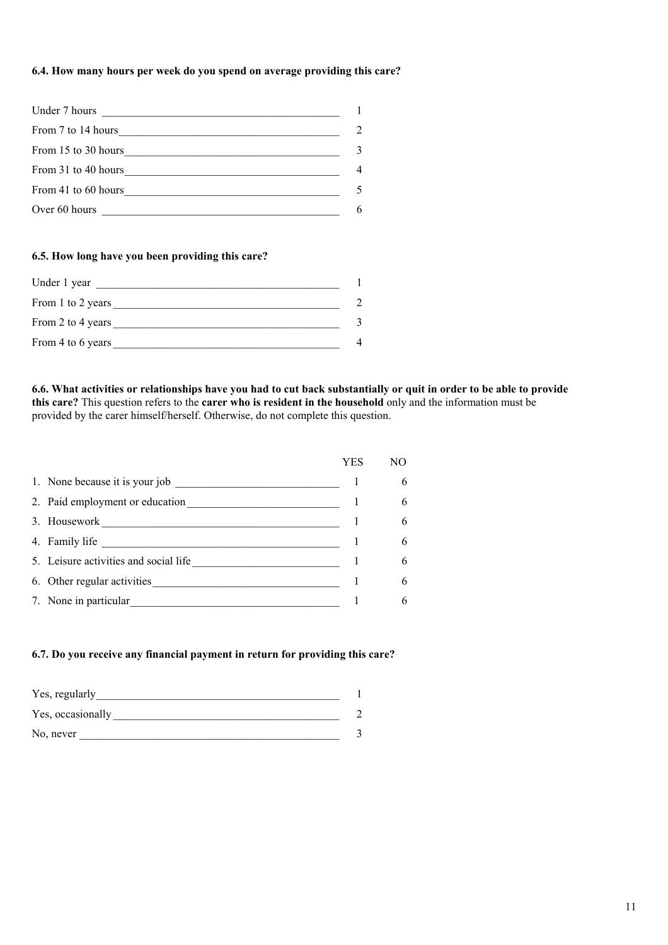## **6.4. How many hours per week do you spend on average providing this care?**

| Under 7 hours<br><u> 1989 - John Stein, Amerikaansk politiker (</u> |                                                                                                                                                                      |
|---------------------------------------------------------------------|----------------------------------------------------------------------------------------------------------------------------------------------------------------------|
| From 7 to 14 hours                                                  | $\mathcal{D}_{\mathcal{A}}^{\mathcal{A}}(\mathcal{A}) = \mathcal{D}_{\mathcal{A}}^{\mathcal{A}}(\mathcal{A}) = \mathcal{D}_{\mathcal{A}}^{\mathcal{A}}(\mathcal{A})$ |
| From 15 to 30 hours                                                 |                                                                                                                                                                      |
| From 31 to 40 hours                                                 | 4                                                                                                                                                                    |
| From 41 to 60 hours                                                 |                                                                                                                                                                      |
| Over 60 hours                                                       | 6                                                                                                                                                                    |

## **6.5. How long have you been providing this care?**

| Under 1 year      |   |
|-------------------|---|
| From 1 to 2 years |   |
| From 2 to 4 years |   |
| From 4 to 6 years | 4 |

**6.6. What activities or relationships have you had to cut back substantially or quit in order to be able to provide this care?** This question refers to the **carer who is resident in the household** only and the information must be provided by the carer himself/herself. Otherwise, do not complete this question.

|                                       | YES | NO. |
|---------------------------------------|-----|-----|
| 1. None because it is your job        |     | 6   |
| 2. Paid employment or education       |     | 6   |
| 3. Housework                          |     | 6   |
| 4. Family life                        |     | 6   |
| 5. Leisure activities and social life |     | 6   |
| 6. Other regular activities           |     | 6   |
| 7. None in particular                 |     | 6   |

#### **6.7. Do you receive any financial payment in return for providing this care?**

| Yes, regularly    |  |
|-------------------|--|
| Yes, occasionally |  |
| No, never         |  |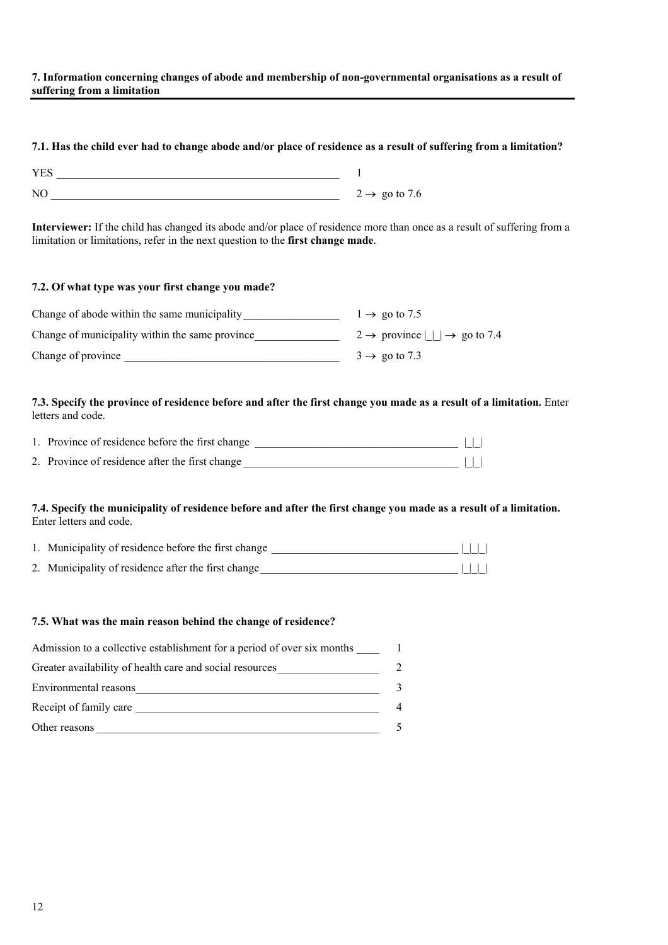#### **7. Information concerning changes of abode and membership of non-governmental organisations as a result of suffering from a limitation**

## **7.1. Has the child ever had to change abode and/or place of residence as a result of suffering from a limitation?**

| <b>YES</b> |                           |
|------------|---------------------------|
| NC         | $2 \rightarrow$ go to 7.6 |

**Interviewer:** If the child has changed its abode and/or place of residence more than once as a result of suffering from a limitation or limitations, refer in the next question to the **first change made**.

| 7.2. Of what type was your first change you made? |                                                            |
|---------------------------------------------------|------------------------------------------------------------|
| Change of abode within the same municipality      | $1 \rightarrow$ go to 7.5                                  |
| Change of municipality within the same province   | $2 \rightarrow$ province $  \cdot   \rightarrow$ go to 7.4 |
| Change of province                                | $3 \rightarrow$ go to 7.3                                  |

**7.3. Specify the province of residence before and after the first change you made as a result of a limitation.** Enter letters and code.

| 1. Province of residence before the first change |  |
|--------------------------------------------------|--|
| 2. Province of residence after the first change  |  |

## **7.4. Specify the municipality of residence before and after the first change you made as a result of a limitation.** Enter letters and code.

| 1. Municipality of residence before the first change | $\Box$ |  |
|------------------------------------------------------|--------|--|
| 2. Municipality of residence after the first change  | $\Box$ |  |

## **7.5. What was the main reason behind the change of residence?**

| Admission to a collective establishment for a period of over six months |                             |
|-------------------------------------------------------------------------|-----------------------------|
| Greater availability of health care and social resources                | $\mathcal{D}_{\mathcal{L}}$ |
| Environmental reasons                                                   |                             |
| Receipt of family care                                                  |                             |
| Other reasons                                                           |                             |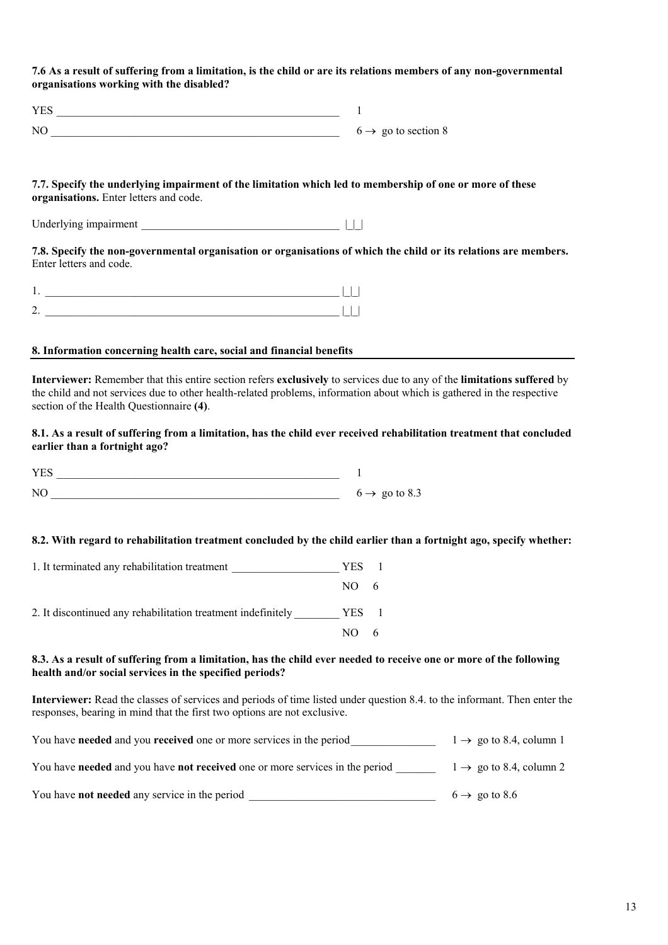**7.6 As a result of suffering from a limitation, is the child or are its relations members of any non-governmental organisations working with the disabled?**

| YES            |                                 |
|----------------|---------------------------------|
| N <sub>0</sub> | $6 \rightarrow$ go to section 8 |

#### **7.7. Specify the underlying impairment of the limitation which led to membership of one or more of these organisations.** Enter letters and code.

Underlying impairment \_\_\_\_\_\_\_\_\_\_\_\_\_\_\_\_\_\_\_\_\_\_\_\_\_\_\_\_\_\_\_\_\_\_\_ |\_|\_|

**7.8. Specify the non-governmental organisation or organisations of which the child or its relations are members.** Enter letters and code.

#### **8. Information concerning health care, social and financial benefits**

**Interviewer:** Remember that this entire section refers **exclusively** to services due to any of the **limitations suffered** by the child and not services due to other health-related problems, information about which is gathered in the respective section of the Health Questionnaire **(4)**.

#### **8.1. As a result of suffering from a limitation, has the child ever received rehabilitation treatment that concluded earlier than a fortnight ago?**

| <b>VEC</b>   |                           |
|--------------|---------------------------|
| $\bf M$<br>. | $6 \rightarrow$ go to 8.3 |

#### **8.2. With regard to rehabilitation treatment concluded by the child earlier than a fortnight ago, specify whether:**

| 1. It terminated any rehabilitation treatment                | YES.       |                |
|--------------------------------------------------------------|------------|----------------|
|                                                              | $NO = 6$   |                |
| 2. It discontinued any rehabilitation treatment indefinitely | <b>YES</b> | $\overline{1}$ |
|                                                              | NO.        |                |

#### **8.3. As a result of suffering from a limitation, has the child ever needed to receive one or more of the following health and/or social services in the specified periods?**

**Interviewer:** Read the classes of services and periods of time listed under question 8.4. to the informant. Then enter the responses, bearing in mind that the first two options are not exclusive.

| You have needed and you received one or more services in the period                        | $1 \rightarrow$ go to 8.4, column 1 |
|--------------------------------------------------------------------------------------------|-------------------------------------|
| You have <b>needed</b> and you have <b>not received</b> one or more services in the period | $1 \rightarrow$ go to 8.4, column 2 |
| You have <b>not needed</b> any service in the period                                       | $6 \rightarrow$ go to 8.6           |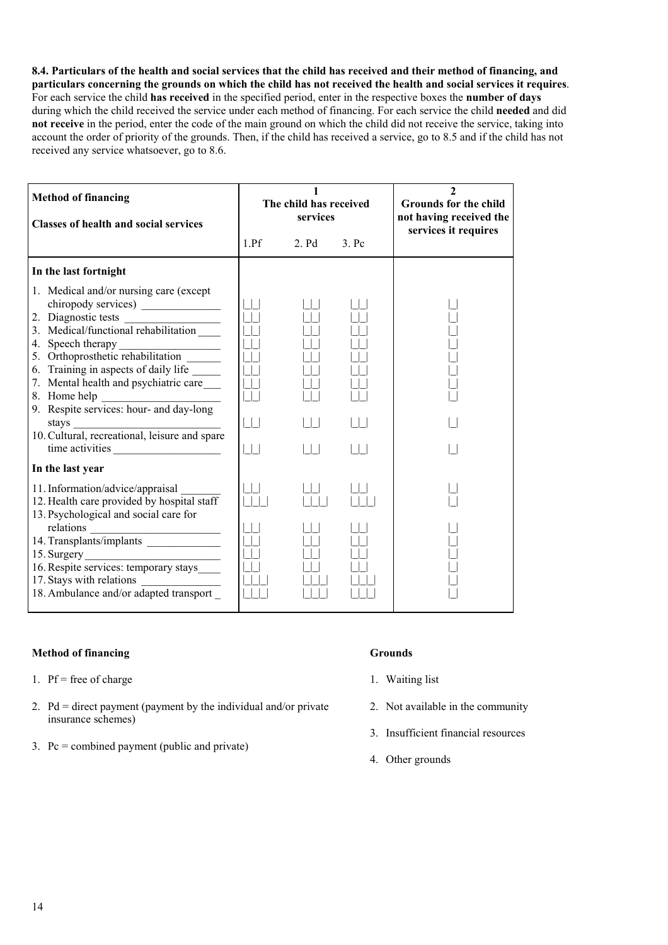**8.4. Particulars of the health and social services that the child has received and their method of financing, and particulars concerning the grounds on which the child has not received the health and social services it requires**. For each service the child **has received** in the specified period, enter in the respective boxes the **number of days** during which the child received the service under each method of financing. For each service the child **needed** and did **not receive** in the period, enter the code of the main ground on which the child did not receive the service, taking into account the order of priority of the grounds. Then, if the child has received a service, go to 8.5 and if the child has not received any service whatsoever, go to 8.6.

| <b>Method of financing</b><br><b>Classes of health and social services</b>                                                                                                                                                                                                                 | The child has received<br>services |       |         | $\mathbf{2}$<br><b>Grounds for the child</b><br>not having received the<br>services it requires |  |
|--------------------------------------------------------------------------------------------------------------------------------------------------------------------------------------------------------------------------------------------------------------------------------------------|------------------------------------|-------|---------|-------------------------------------------------------------------------------------------------|--|
|                                                                                                                                                                                                                                                                                            | 1.Pf                               | 2. Pd | $3.$ Pc |                                                                                                 |  |
| In the last fortnight                                                                                                                                                                                                                                                                      |                                    |       |         |                                                                                                 |  |
| 1. Medical and/or nursing care (except<br>2. Diagnostic tests<br>3. Medical/functional rehabilitation<br>6. Training in aspects of daily life _____<br>7. Mental health and psychiatric care<br>8. Home help<br>8. Home help<br>9. Respite services: hour- and day-long<br>time activities | $\Box$<br>$\Box$                   |       |         |                                                                                                 |  |
| In the last year                                                                                                                                                                                                                                                                           |                                    |       |         |                                                                                                 |  |
| 11. Information/advice/appraisal<br>12. Health care provided by hospital staff<br>13. Psychological and social care for                                                                                                                                                                    |                                    |       |         |                                                                                                 |  |
| relations<br>14. Transplants/implants<br>16. Respite services: temporary stays<br>17. Stays with relations<br>18. Ambulance and/or adapted transport                                                                                                                                       |                                    |       |         |                                                                                                 |  |

## **Method of financing Grounds**

- 1. Pf = free of charge
- 2. Pd = direct payment (payment by the individual and/or private insurance schemes)
- 3. Pc = combined payment (public and private)

- 1. Waiting list
- 2. Not available in the community
- 3. Insufficient financial resources
- 4. Other grounds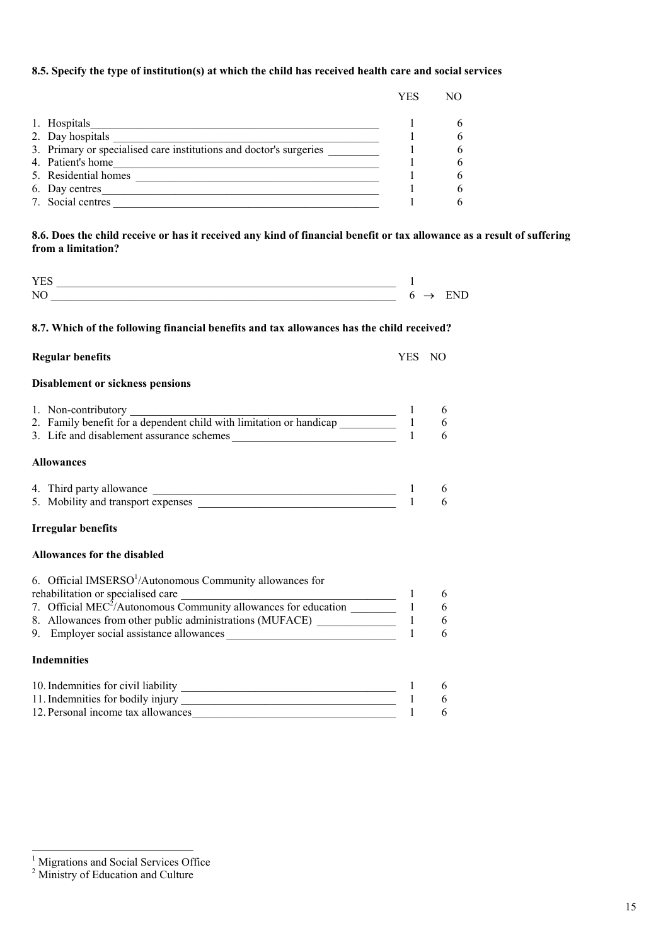## **8.5. Specify the type of institution(s) at which the child has received health care and social services**

|                                                                    | YES | NС |
|--------------------------------------------------------------------|-----|----|
|                                                                    |     |    |
| 1. Hospitals                                                       |     |    |
| 2. Day hospitals                                                   |     |    |
| 3. Primary or specialised care institutions and doctor's surgeries |     |    |
| 4. Patient's home                                                  |     |    |
| 5. Residential homes                                               |     |    |
| 6. Day centres                                                     |     |    |
| 7. Social centres                                                  |     |    |

## **8.6. Does the child receive or has it received any kind of financial benefit or tax allowance as a result of suffering from a limitation?**

| 'Ν |  |
|----|--|

#### **8.7. Which of the following financial benefits and tax allowances has the child received?**

| <b>Regular benefits</b> | YES NO |  |
|-------------------------|--------|--|
|                         |        |  |

#### **Disablement or sickness pensions**

| 1. Non-contributory                                                 |  |
|---------------------------------------------------------------------|--|
| 2. Family benefit for a dependent child with limitation or handicap |  |
| 3. Life and disablement assurance schemes                           |  |
| <b>Allowances</b>                                                   |  |
| 4. Third party allowance                                            |  |
| 5. Mobility and transport expenses                                  |  |

| ). MODIIITY and transport expenses |  |
|------------------------------------|--|
|                                    |  |
|                                    |  |

## **Irregular benefits**

## **Allowances for the disabled**

| 6. Official IMSERSO <sup>1</sup> /Autonomous Community allowances for       |   |
|-----------------------------------------------------------------------------|---|
| rehabilitation or specialised care                                          | 6 |
| 7. Official MEC <sup>2</sup> /Autonomous Community allowances for education | 6 |
| 8. Allowances from other public administrations (MUFACE)                    | 6 |
| 9. Employer social assistance allowances                                    | 6 |
|                                                                             |   |

# **Indemnities**

l

| 10. Indemnities for civil liability |  |
|-------------------------------------|--|
| 11. Indemnities for bodily injury   |  |
| 12. Personal income tax allowances  |  |

<span id="page-14-0"></span><sup>&</sup>lt;sup>1</sup> Migrations and Social Services Office

<span id="page-14-1"></span><sup>&</sup>lt;sup>2</sup> Ministry of Education and Culture